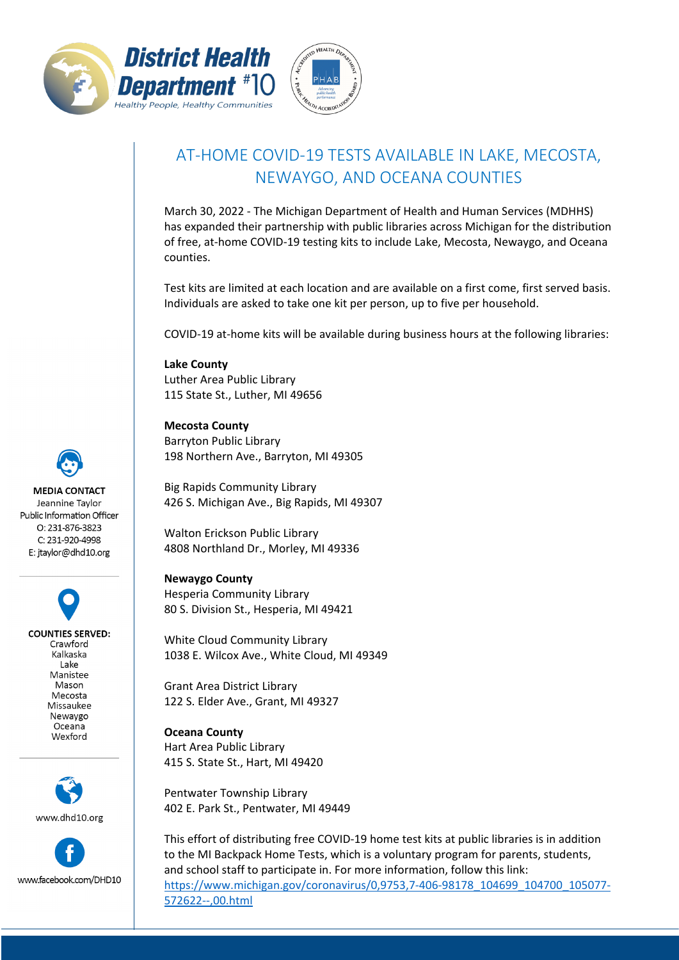



## AT-HOME COVID-19 TESTS AVAILABLE IN LAKE, MECOSTA, NEWAYGO, AND OCEANA COUNTIES

March 30, 2022 - The Michigan Department of Health and Human Services (MDHHS) has expanded their partnership with public libraries across Michigan for the distribution of free, at-home COVID-19 testing kits to include Lake, Mecosta, Newaygo, and Oceana counties.

Test kits are limited at each location and are available on a first come, first served basis. Individuals are asked to take one kit per person, up to five per household.

COVID-19 at-home kits will be available during business hours at the following libraries:

**Lake County** Luther Area Public Library 115 State St., Luther, MI 49656

**Mecosta County** Barryton Public Library 198 Northern Ave., Barryton, MI 49305

Big Rapids Community Library 426 S. Michigan Ave., Big Rapids, MI 49307

Walton Erickson Public Library 4808 Northland Dr., Morley, MI 49336

**Newaygo County** Hesperia Community Library 80 S. Division St., Hesperia, MI 49421

White Cloud Community Library 1038 E. Wilcox Ave., White Cloud, MI 49349

Grant Area District Library 122 S. Elder Ave., Grant, MI 49327

**Oceana County** Hart Area Public Library 415 S. State St., Hart, MI 49420

Pentwater Township Library 402 E. Park St., Pentwater, MI 49449

This effort of distributing free COVID-19 home test kits at public libraries is in addition to the MI Backpack Home Tests, which is a voluntary program for parents, students, and school staff to participate in. For more information, follow this link: [https://www.michigan.gov/coronavirus/0,9753,7-406-98178\\_104699\\_104700\\_105077-](https://www.michigan.gov/coronavirus/0,9753,7-406-98178_104699_104700_105077-572622--,00.html) [572622--,00.html](https://www.michigan.gov/coronavirus/0,9753,7-406-98178_104699_104700_105077-572622--,00.html)

**MEDIA CONTACT** Jeannine Taylor Public Information Officer O: 231-876-3823 C: 231-920-4998

E: jtaylor@dhd10.org

**COUNTIES SERVED:** Crawford Kalkaska Lake Manistee Mason Mecosta Missaukee Newaygo Oceana Wexford